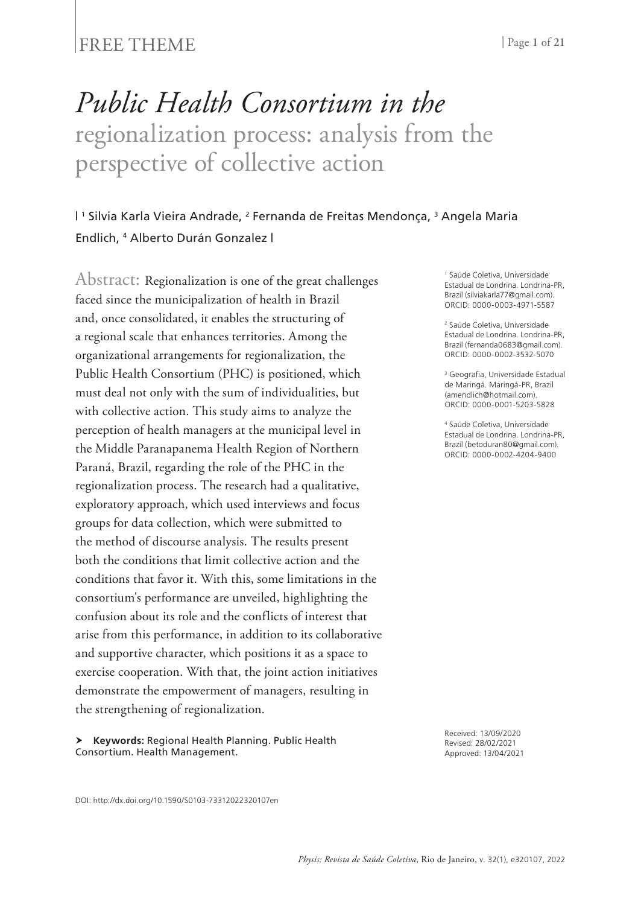### FREE THEME | Page 1 of 21

# *Public Health Consortium in the* regionalization process: analysis from the perspective of collective action

#### | 1 Silvia Karla Vieira Andrade, 2 Fernanda de Freitas Mendonça, 3 Angela Maria Endlich, 4 Alberto Durán Gonzalez |

Abstract: Regionalization is one of the great challenges faced since the municipalization of health in Brazil and, once consolidated, it enables the structuring of a regional scale that enhances territories. Among the organizational arrangements for regionalization, the Public Health Consortium (PHC) is positioned, which must deal not only with the sum of individualities, but with collective action. This study aims to analyze the perception of health managers at the municipal level in the Middle Paranapanema Health Region of Northern Paraná, Brazil, regarding the role of the PHC in the regionalization process. The research had a qualitative, exploratory approach, which used interviews and focus groups for data collection, which were submitted to the method of discourse analysis. The results present both the conditions that limit collective action and the conditions that favor it. With this, some limitations in the consortium's performance are unveiled, highlighting the confusion about its role and the conflicts of interest that arise from this performance, in addition to its collaborative and supportive character, which positions it as a space to exercise cooperation. With that, the joint action initiatives demonstrate the empowerment of managers, resulting in the strengthening of regionalization.

 **Keywords:** Regional Health Planning. Public Health Consortium. Health Management.

1 Saúde Coletiva, Universidade Estadual de Londrina. Londrina-PR, Brazil (silviakarla77@gmail.com). ORCID: 0000-0003-4971-5587

2 Saúde Coletiva, Universidade Estadual de Londrina. Londrina-PR, Brazil (fernanda0683@gmail.com). ORCID: 0000-0002-3532-5070

3 Geografia, Universidade Estadual de Maringá. Maringá-PR, Brazil (amendlich@hotmail.com). ORCID: 0000-0001-5203-5828

4 Saúde Coletiva, Universidade Estadual de Londrina. Londrina-PR, Brazil (betoduran80@gmail.com). ORCID: 0000-0002-4204-9400

Received: 13/09/2020 Revised: 28/02/2021 Approved: 13/04/2021

DOI: http://dx.doi.org/10.1590/S0103-73312022320107en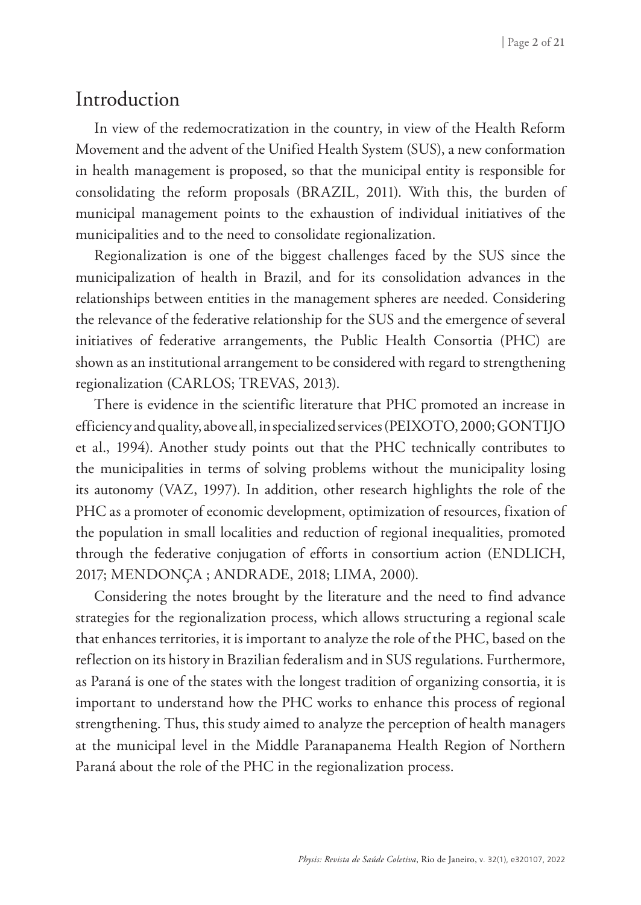### Introduction

In view of the redemocratization in the country, in view of the Health Reform Movement and the advent of the Unified Health System (SUS), a new conformation in health management is proposed, so that the municipal entity is responsible for consolidating the reform proposals (BRAZIL, 2011). With this, the burden of municipal management points to the exhaustion of individual initiatives of the municipalities and to the need to consolidate regionalization.

Regionalization is one of the biggest challenges faced by the SUS since the municipalization of health in Brazil, and for its consolidation advances in the relationships between entities in the management spheres are needed. Considering the relevance of the federative relationship for the SUS and the emergence of several initiatives of federative arrangements, the Public Health Consortia (PHC) are shown as an institutional arrangement to be considered with regard to strengthening regionalization (CARLOS; TREVAS, 2013).

There is evidence in the scientific literature that PHC promoted an increase in efficiency and quality, above all, in specialized services (PEIXOTO, 2000; GONTIJO et al., 1994). Another study points out that the PHC technically contributes to the municipalities in terms of solving problems without the municipality losing its autonomy (VAZ, 1997). In addition, other research highlights the role of the PHC as a promoter of economic development, optimization of resources, fixation of the population in small localities and reduction of regional inequalities, promoted through the federative conjugation of efforts in consortium action (ENDLICH, 2017; MENDONÇA ; ANDRADE, 2018; LIMA, 2000).

Considering the notes brought by the literature and the need to find advance strategies for the regionalization process, which allows structuring a regional scale that enhances territories, it is important to analyze the role of the PHC, based on the reflection on its history in Brazilian federalism and in SUS regulations. Furthermore, as Paraná is one of the states with the longest tradition of organizing consortia, it is important to understand how the PHC works to enhance this process of regional strengthening. Thus, this study aimed to analyze the perception of health managers at the municipal level in the Middle Paranapanema Health Region of Northern Paraná about the role of the PHC in the regionalization process.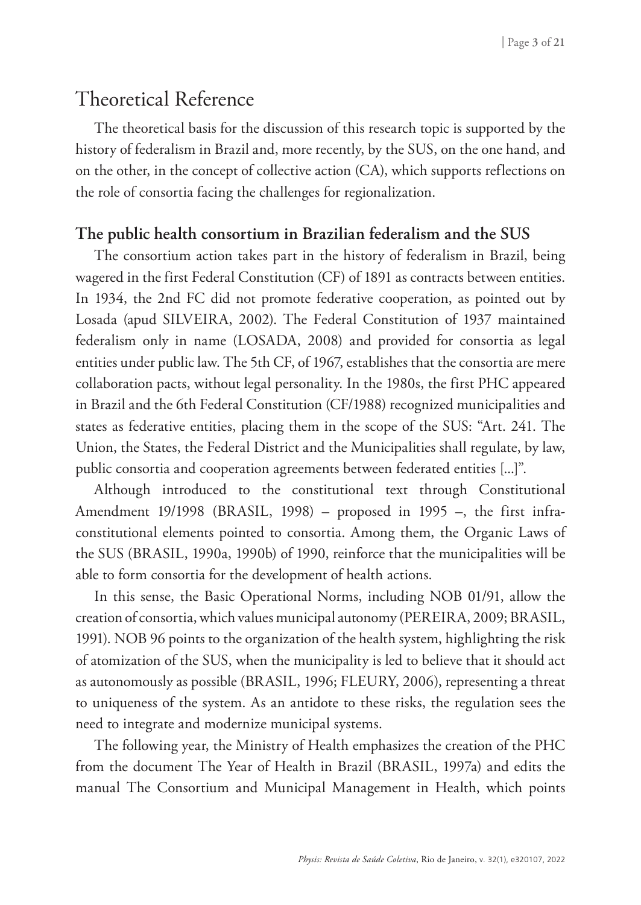## Theoretical Reference

The theoretical basis for the discussion of this research topic is supported by the history of federalism in Brazil and, more recently, by the SUS, on the one hand, and on the other, in the concept of collective action (CA), which supports reflections on the role of consortia facing the challenges for regionalization.

#### **The public health consortium in Brazilian federalism and the SUS**

The consortium action takes part in the history of federalism in Brazil, being wagered in the first Federal Constitution (CF) of 1891 as contracts between entities. In 1934, the 2nd FC did not promote federative cooperation, as pointed out by Losada (apud SILVEIRA, 2002). The Federal Constitution of 1937 maintained federalism only in name (LOSADA, 2008) and provided for consortia as legal entities under public law. The 5th CF, of 1967, establishes that the consortia are mere collaboration pacts, without legal personality. In the 1980s, the first PHC appeared in Brazil and the 6th Federal Constitution (CF/1988) recognized municipalities and states as federative entities, placing them in the scope of the SUS: "Art. 241. The Union, the States, the Federal District and the Municipalities shall regulate, by law, public consortia and cooperation agreements between federated entities [...]".

Although introduced to the constitutional text through Constitutional Amendment 19/1998 (BRASIL, 1998) – proposed in 1995 –, the first infraconstitutional elements pointed to consortia. Among them, the Organic Laws of the SUS (BRASIL, 1990a, 1990b) of 1990, reinforce that the municipalities will be able to form consortia for the development of health actions.

In this sense, the Basic Operational Norms, including NOB 01/91, allow the creation of consortia, which values municipal autonomy (PEREIRA, 2009; BRASIL, 1991). NOB 96 points to the organization of the health system, highlighting the risk of atomization of the SUS, when the municipality is led to believe that it should act as autonomously as possible (BRASIL, 1996; FLEURY, 2006), representing a threat to uniqueness of the system. As an antidote to these risks, the regulation sees the need to integrate and modernize municipal systems.

The following year, the Ministry of Health emphasizes the creation of the PHC from the document The Year of Health in Brazil (BRASIL, 1997a) and edits the manual The Consortium and Municipal Management in Health, which points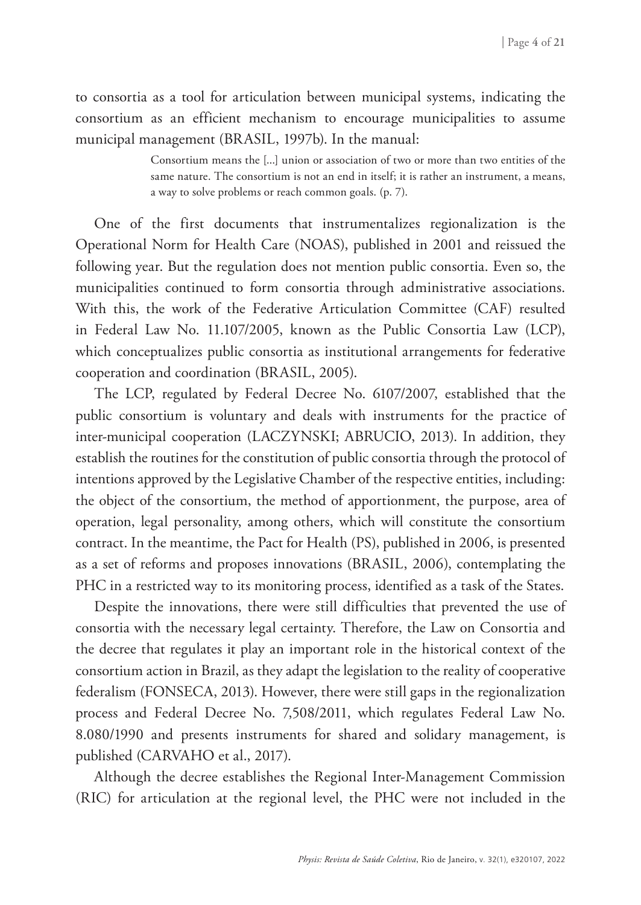to consortia as a tool for articulation between municipal systems, indicating the consortium as an efficient mechanism to encourage municipalities to assume municipal management (BRASIL, 1997b). In the manual:

> Consortium means the [...] union or association of two or more than two entities of the same nature. The consortium is not an end in itself; it is rather an instrument, a means, a way to solve problems or reach common goals. (p. 7).

One of the first documents that instrumentalizes regionalization is the Operational Norm for Health Care (NOAS), published in 2001 and reissued the following year. But the regulation does not mention public consortia. Even so, the municipalities continued to form consortia through administrative associations. With this, the work of the Federative Articulation Committee (CAF) resulted in Federal Law No. 11.107/2005, known as the Public Consortia Law (LCP), which conceptualizes public consortia as institutional arrangements for federative cooperation and coordination (BRASIL, 2005).

The LCP, regulated by Federal Decree No. 6107/2007, established that the public consortium is voluntary and deals with instruments for the practice of inter-municipal cooperation (LACZYNSKI; ABRUCIO, 2013). In addition, they establish the routines for the constitution of public consortia through the protocol of intentions approved by the Legislative Chamber of the respective entities, including: the object of the consortium, the method of apportionment, the purpose, area of operation, legal personality, among others, which will constitute the consortium contract. In the meantime, the Pact for Health (PS), published in 2006, is presented as a set of reforms and proposes innovations (BRASIL, 2006), contemplating the PHC in a restricted way to its monitoring process, identified as a task of the States.

Despite the innovations, there were still difficulties that prevented the use of consortia with the necessary legal certainty. Therefore, the Law on Consortia and the decree that regulates it play an important role in the historical context of the consortium action in Brazil, as they adapt the legislation to the reality of cooperative federalism (FONSECA, 2013). However, there were still gaps in the regionalization process and Federal Decree No. 7,508/2011, which regulates Federal Law No. 8.080/1990 and presents instruments for shared and solidary management, is published (CARVAHO et al., 2017).

Although the decree establishes the Regional Inter-Management Commission (RIC) for articulation at the regional level, the PHC were not included in the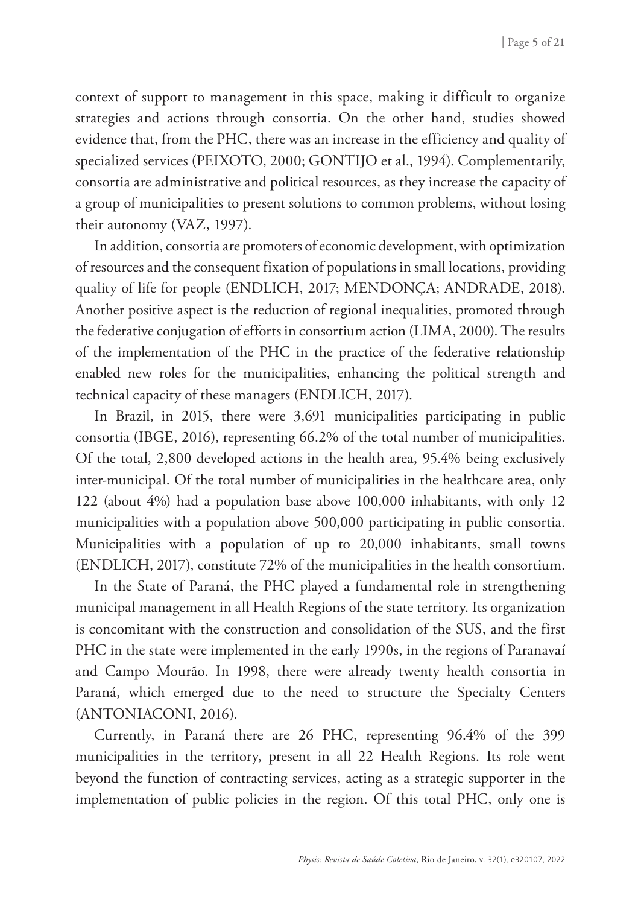context of support to management in this space, making it difficult to organize strategies and actions through consortia. On the other hand, studies showed evidence that, from the PHC, there was an increase in the efficiency and quality of specialized services (PEIXOTO, 2000; GONTIJO et al., 1994). Complementarily, consortia are administrative and political resources, as they increase the capacity of a group of municipalities to present solutions to common problems, without losing their autonomy (VAZ, 1997).

In addition, consortia are promoters of economic development, with optimization of resources and the consequent fixation of populations in small locations, providing quality of life for people (ENDLICH, 2017; MENDONÇA; ANDRADE, 2018). Another positive aspect is the reduction of regional inequalities, promoted through the federative conjugation of efforts in consortium action (LIMA, 2000). The results of the implementation of the PHC in the practice of the federative relationship enabled new roles for the municipalities, enhancing the political strength and technical capacity of these managers (ENDLICH, 2017).

In Brazil, in 2015, there were 3,691 municipalities participating in public consortia (IBGE, 2016), representing 66.2% of the total number of municipalities. Of the total, 2,800 developed actions in the health area, 95.4% being exclusively inter-municipal. Of the total number of municipalities in the healthcare area, only 122 (about 4%) had a population base above 100,000 inhabitants, with only 12 municipalities with a population above 500,000 participating in public consortia. Municipalities with a population of up to 20,000 inhabitants, small towns (ENDLICH, 2017), constitute 72% of the municipalities in the health consortium.

In the State of Paraná, the PHC played a fundamental role in strengthening municipal management in all Health Regions of the state territory. Its organization is concomitant with the construction and consolidation of the SUS, and the first PHC in the state were implemented in the early 1990s, in the regions of Paranavaí and Campo Mourão. In 1998, there were already twenty health consortia in Paraná, which emerged due to the need to structure the Specialty Centers (ANTONIACONI, 2016).

Currently, in Paraná there are 26 PHC, representing 96.4% of the 399 municipalities in the territory, present in all 22 Health Regions. Its role went beyond the function of contracting services, acting as a strategic supporter in the implementation of public policies in the region. Of this total PHC, only one is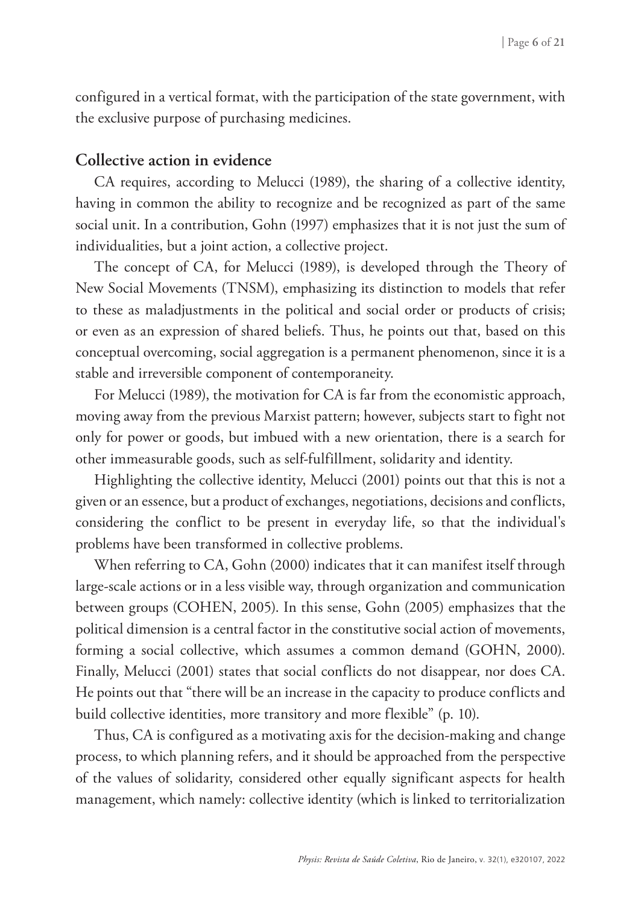configured in a vertical format, with the participation of the state government, with the exclusive purpose of purchasing medicines.

#### **Collective action in evidence**

CA requires, according to Melucci (1989), the sharing of a collective identity, having in common the ability to recognize and be recognized as part of the same social unit. In a contribution, Gohn (1997) emphasizes that it is not just the sum of individualities, but a joint action, a collective project.

The concept of CA, for Melucci (1989), is developed through the Theory of New Social Movements (TNSM), emphasizing its distinction to models that refer to these as maladjustments in the political and social order or products of crisis; or even as an expression of shared beliefs. Thus, he points out that, based on this conceptual overcoming, social aggregation is a permanent phenomenon, since it is a stable and irreversible component of contemporaneity.

For Melucci (1989), the motivation for CA is far from the economistic approach, moving away from the previous Marxist pattern; however, subjects start to fight not only for power or goods, but imbued with a new orientation, there is a search for other immeasurable goods, such as self-fulfillment, solidarity and identity.

Highlighting the collective identity, Melucci (2001) points out that this is not a given or an essence, but a product of exchanges, negotiations, decisions and conflicts, considering the conflict to be present in everyday life, so that the individual's problems have been transformed in collective problems.

When referring to CA, Gohn (2000) indicates that it can manifest itself through large-scale actions or in a less visible way, through organization and communication between groups (COHEN, 2005). In this sense, Gohn (2005) emphasizes that the political dimension is a central factor in the constitutive social action of movements, forming a social collective, which assumes a common demand (GOHN, 2000). Finally, Melucci (2001) states that social conflicts do not disappear, nor does CA. He points out that "there will be an increase in the capacity to produce conflicts and build collective identities, more transitory and more flexible" (p. 10).

Thus, CA is configured as a motivating axis for the decision-making and change process, to which planning refers, and it should be approached from the perspective of the values of solidarity, considered other equally significant aspects for health management, which namely: collective identity (which is linked to territorialization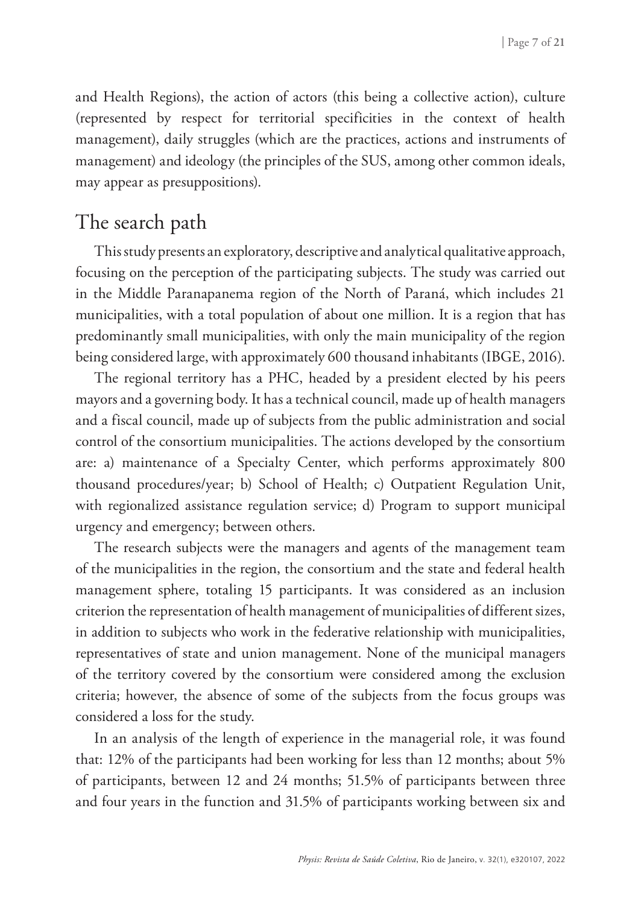and Health Regions), the action of actors (this being a collective action), culture (represented by respect for territorial specificities in the context of health management), daily struggles (which are the practices, actions and instruments of management) and ideology (the principles of the SUS, among other common ideals, may appear as presuppositions).

# The search path

This study presents an exploratory, descriptive and analytical qualitative approach, focusing on the perception of the participating subjects. The study was carried out in the Middle Paranapanema region of the North of Paraná, which includes 21 municipalities, with a total population of about one million. It is a region that has predominantly small municipalities, with only the main municipality of the region being considered large, with approximately 600 thousand inhabitants (IBGE, 2016).

The regional territory has a PHC, headed by a president elected by his peers mayors and a governing body. It has a technical council, made up of health managers and a fiscal council, made up of subjects from the public administration and social control of the consortium municipalities. The actions developed by the consortium are: a) maintenance of a Specialty Center, which performs approximately 800 thousand procedures/year; b) School of Health; c) Outpatient Regulation Unit, with regionalized assistance regulation service; d) Program to support municipal urgency and emergency; between others.

The research subjects were the managers and agents of the management team of the municipalities in the region, the consortium and the state and federal health management sphere, totaling 15 participants. It was considered as an inclusion criterion the representation of health management of municipalities of different sizes, in addition to subjects who work in the federative relationship with municipalities, representatives of state and union management. None of the municipal managers of the territory covered by the consortium were considered among the exclusion criteria; however, the absence of some of the subjects from the focus groups was considered a loss for the study.

In an analysis of the length of experience in the managerial role, it was found that: 12% of the participants had been working for less than 12 months; about 5% of participants, between 12 and 24 months; 51.5% of participants between three and four years in the function and 31.5% of participants working between six and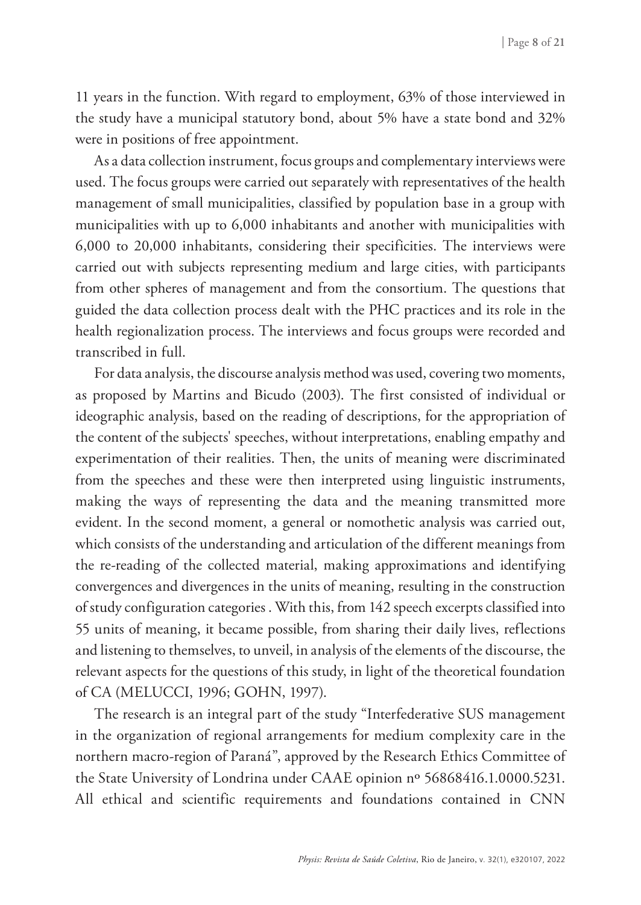11 years in the function. With regard to employment, 63% of those interviewed in the study have a municipal statutory bond, about 5% have a state bond and 32% were in positions of free appointment.

As a data collection instrument, focus groups and complementary interviews were used. The focus groups were carried out separately with representatives of the health management of small municipalities, classified by population base in a group with municipalities with up to 6,000 inhabitants and another with municipalities with 6,000 to 20,000 inhabitants, considering their specificities. The interviews were carried out with subjects representing medium and large cities, with participants from other spheres of management and from the consortium. The questions that guided the data collection process dealt with the PHC practices and its role in the health regionalization process. The interviews and focus groups were recorded and transcribed in full.

For data analysis, the discourse analysis method was used, covering two moments, as proposed by Martins and Bicudo (2003). The first consisted of individual or ideographic analysis, based on the reading of descriptions, for the appropriation of the content of the subjects' speeches, without interpretations, enabling empathy and experimentation of their realities. Then, the units of meaning were discriminated from the speeches and these were then interpreted using linguistic instruments, making the ways of representing the data and the meaning transmitted more evident. In the second moment, a general or nomothetic analysis was carried out, which consists of the understanding and articulation of the different meanings from the re-reading of the collected material, making approximations and identifying convergences and divergences in the units of meaning, resulting in the construction of study configuration categories . With this, from 142 speech excerpts classified into 55 units of meaning, it became possible, from sharing their daily lives, reflections and listening to themselves, to unveil, in analysis of the elements of the discourse, the relevant aspects for the questions of this study, in light of the theoretical foundation of CA (MELUCCI, 1996; GOHN, 1997).

The research is an integral part of the study "Interfederative SUS management in the organization of regional arrangements for medium complexity care in the northern macro-region of Paraná", approved by the Research Ethics Committee of the State University of Londrina under CAAE opinion nº 56868416.1.0000.5231. All ethical and scientific requirements and foundations contained in CNN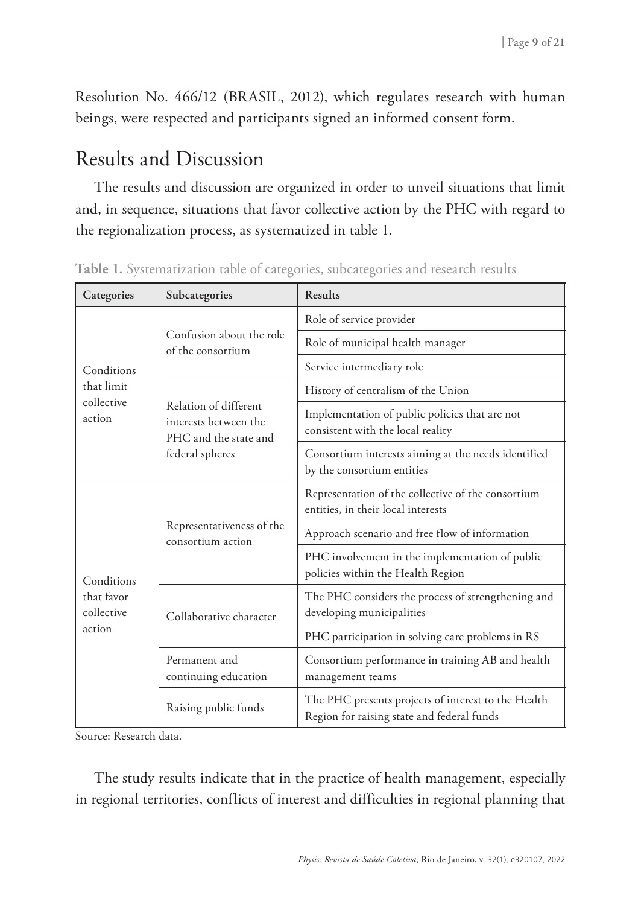Resolution No. 466/12 (BRASIL, 2012), which regulates research with human beings, were respected and participants signed an informed consent form.

## Results and Discussion

The results and discussion are organized in order to unveil situations that limit and, in sequence, situations that favor collective action by the PHC with regard to the regionalization process, as systematized in table 1.

| Categories                                       | Subcategories                                                                              | Results                                                                                           |  |  |
|--------------------------------------------------|--------------------------------------------------------------------------------------------|---------------------------------------------------------------------------------------------------|--|--|
| Conditions<br>that limit<br>collective<br>action | Confusion about the role<br>of the consortium                                              | Role of service provider                                                                          |  |  |
|                                                  |                                                                                            | Role of municipal health manager                                                                  |  |  |
|                                                  |                                                                                            | Service intermediary role                                                                         |  |  |
|                                                  | Relation of different<br>interests between the<br>PHC and the state and<br>federal spheres | History of centralism of the Union                                                                |  |  |
|                                                  |                                                                                            | Implementation of public policies that are not<br>consistent with the local reality               |  |  |
|                                                  |                                                                                            | Consortium interests aiming at the needs identified<br>by the consortium entities                 |  |  |
| Conditions<br>that favor<br>collective<br>action | Representativeness of the<br>consortium action                                             | Representation of the collective of the consortium<br>entities, in their local interests          |  |  |
|                                                  |                                                                                            | Approach scenario and free flow of information                                                    |  |  |
|                                                  |                                                                                            | PHC involvement in the implementation of public<br>policies within the Health Region              |  |  |
|                                                  | Collaborative character                                                                    | The PHC considers the process of strengthening and<br>developing municipalities                   |  |  |
|                                                  |                                                                                            | PHC participation in solving care problems in RS                                                  |  |  |
|                                                  | Permanent and<br>continuing education                                                      | Consortium performance in training AB and health<br>management teams                              |  |  |
|                                                  | Raising public funds                                                                       | The PHC presents projects of interest to the Health<br>Region for raising state and federal funds |  |  |

| Table 1. Systematization table of categories, subcategories and research results |  |  |  |  |
|----------------------------------------------------------------------------------|--|--|--|--|
|----------------------------------------------------------------------------------|--|--|--|--|

Source: Research data.

The study results indicate that in the practice of health management, especially in regional territories, conflicts of interest and difficulties in regional planning that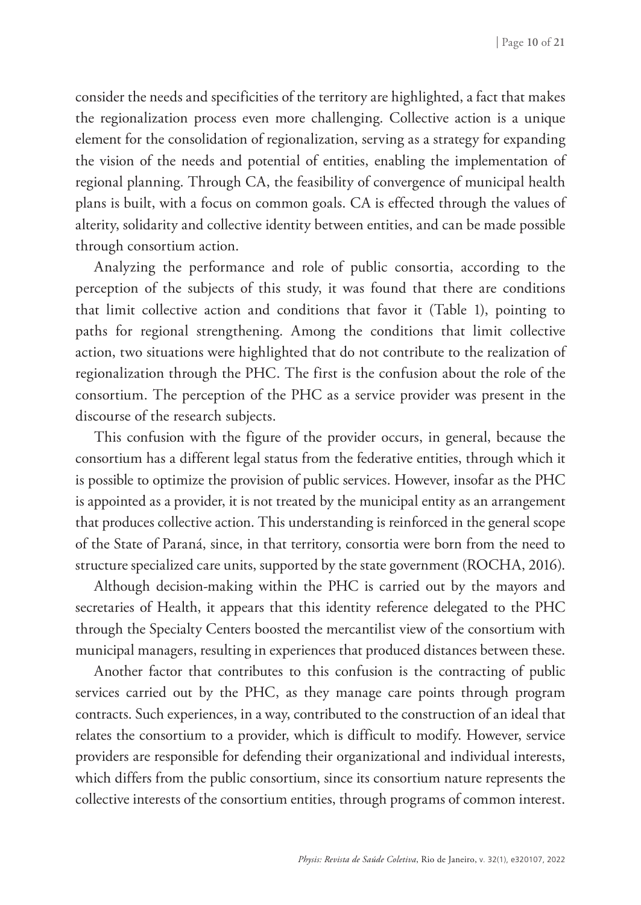consider the needs and specificities of the territory are highlighted, a fact that makes the regionalization process even more challenging. Collective action is a unique element for the consolidation of regionalization, serving as a strategy for expanding the vision of the needs and potential of entities, enabling the implementation of regional planning. Through CA, the feasibility of convergence of municipal health plans is built, with a focus on common goals. CA is effected through the values of alterity, solidarity and collective identity between entities, and can be made possible through consortium action.

Analyzing the performance and role of public consortia, according to the perception of the subjects of this study, it was found that there are conditions that limit collective action and conditions that favor it (Table 1), pointing to paths for regional strengthening. Among the conditions that limit collective action, two situations were highlighted that do not contribute to the realization of regionalization through the PHC. The first is the confusion about the role of the consortium. The perception of the PHC as a service provider was present in the discourse of the research subjects.

This confusion with the figure of the provider occurs, in general, because the consortium has a different legal status from the federative entities, through which it is possible to optimize the provision of public services. However, insofar as the PHC is appointed as a provider, it is not treated by the municipal entity as an arrangement that produces collective action. This understanding is reinforced in the general scope of the State of Paraná, since, in that territory, consortia were born from the need to structure specialized care units, supported by the state government (ROCHA, 2016).

Although decision-making within the PHC is carried out by the mayors and secretaries of Health, it appears that this identity reference delegated to the PHC through the Specialty Centers boosted the mercantilist view of the consortium with municipal managers, resulting in experiences that produced distances between these.

Another factor that contributes to this confusion is the contracting of public services carried out by the PHC, as they manage care points through program contracts. Such experiences, in a way, contributed to the construction of an ideal that relates the consortium to a provider, which is difficult to modify. However, service providers are responsible for defending their organizational and individual interests, which differs from the public consortium, since its consortium nature represents the collective interests of the consortium entities, through programs of common interest.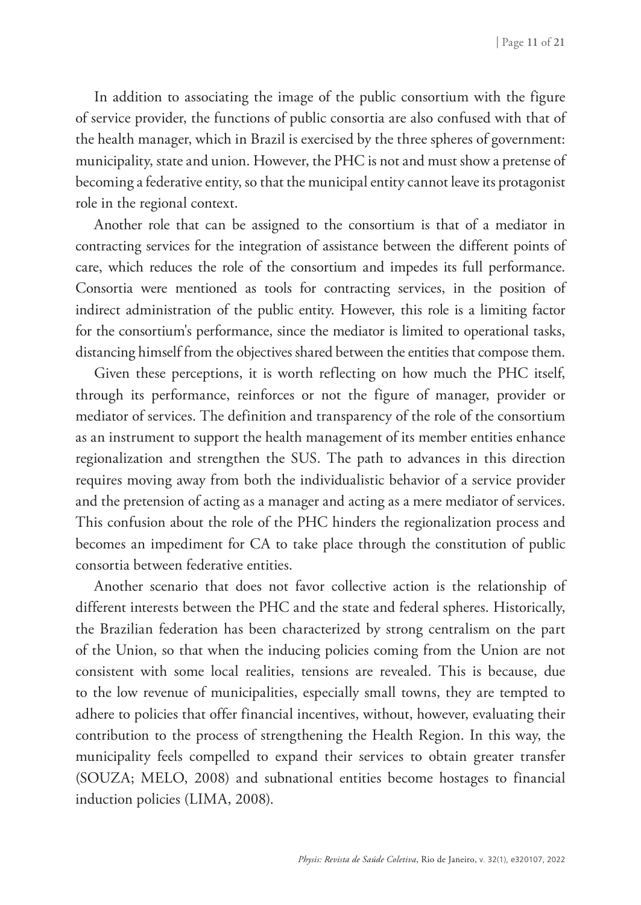In addition to associating the image of the public consortium with the figure of service provider, the functions of public consortia are also confused with that of the health manager, which in Brazil is exercised by the three spheres of government: municipality, state and union. However, the PHC is not and must show a pretense of becoming a federative entity, so that the municipal entity cannot leave its protagonist role in the regional context.

Another role that can be assigned to the consortium is that of a mediator in contracting services for the integration of assistance between the different points of care, which reduces the role of the consortium and impedes its full performance. Consortia were mentioned as tools for contracting services, in the position of indirect administration of the public entity. However, this role is a limiting factor for the consortium's performance, since the mediator is limited to operational tasks, distancing himself from the objectives shared between the entities that compose them.

Given these perceptions, it is worth reflecting on how much the PHC itself, through its performance, reinforces or not the figure of manager, provider or mediator of services. The definition and transparency of the role of the consortium as an instrument to support the health management of its member entities enhance regionalization and strengthen the SUS. The path to advances in this direction requires moving away from both the individualistic behavior of a service provider and the pretension of acting as a manager and acting as a mere mediator of services. This confusion about the role of the PHC hinders the regionalization process and becomes an impediment for CA to take place through the constitution of public consortia between federative entities.

Another scenario that does not favor collective action is the relationship of different interests between the PHC and the state and federal spheres. Historically, the Brazilian federation has been characterized by strong centralism on the part of the Union, so that when the inducing policies coming from the Union are not consistent with some local realities, tensions are revealed. This is because, due to the low revenue of municipalities, especially small towns, they are tempted to adhere to policies that offer financial incentives, without, however, evaluating their contribution to the process of strengthening the Health Region. In this way, the municipality feels compelled to expand their services to obtain greater transfer (SOUZA; MELO, 2008) and subnational entities become hostages to financial induction policies (LIMA, 2008).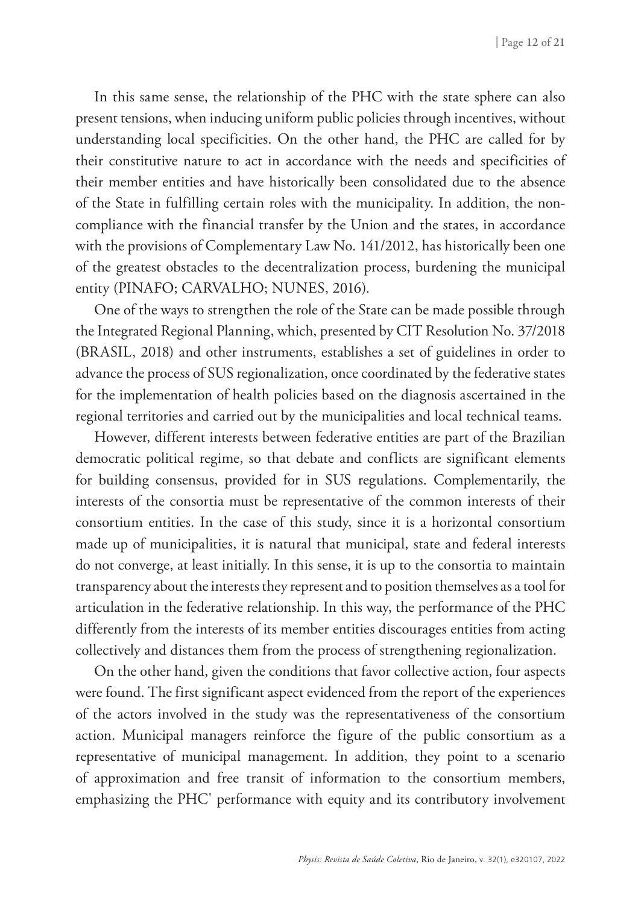In this same sense, the relationship of the PHC with the state sphere can also present tensions, when inducing uniform public policies through incentives, without understanding local specificities. On the other hand, the PHC are called for by their constitutive nature to act in accordance with the needs and specificities of their member entities and have historically been consolidated due to the absence of the State in fulfilling certain roles with the municipality. In addition, the noncompliance with the financial transfer by the Union and the states, in accordance with the provisions of Complementary Law No. 141/2012, has historically been one of the greatest obstacles to the decentralization process, burdening the municipal entity (PINAFO; CARVALHO; NUNES, 2016).

One of the ways to strengthen the role of the State can be made possible through the Integrated Regional Planning, which, presented by CIT Resolution No. 37/2018 (BRASIL, 2018) and other instruments, establishes a set of guidelines in order to advance the process of SUS regionalization, once coordinated by the federative states for the implementation of health policies based on the diagnosis ascertained in the regional territories and carried out by the municipalities and local technical teams.

However, different interests between federative entities are part of the Brazilian democratic political regime, so that debate and conflicts are significant elements for building consensus, provided for in SUS regulations. Complementarily, the interests of the consortia must be representative of the common interests of their consortium entities. In the case of this study, since it is a horizontal consortium made up of municipalities, it is natural that municipal, state and federal interests do not converge, at least initially. In this sense, it is up to the consortia to maintain transparency about the interests they represent and to position themselves as a tool for articulation in the federative relationship. In this way, the performance of the PHC differently from the interests of its member entities discourages entities from acting collectively and distances them from the process of strengthening regionalization.

On the other hand, given the conditions that favor collective action, four aspects were found. The first significant aspect evidenced from the report of the experiences of the actors involved in the study was the representativeness of the consortium action. Municipal managers reinforce the figure of the public consortium as a representative of municipal management. In addition, they point to a scenario of approximation and free transit of information to the consortium members, emphasizing the PHC' performance with equity and its contributory involvement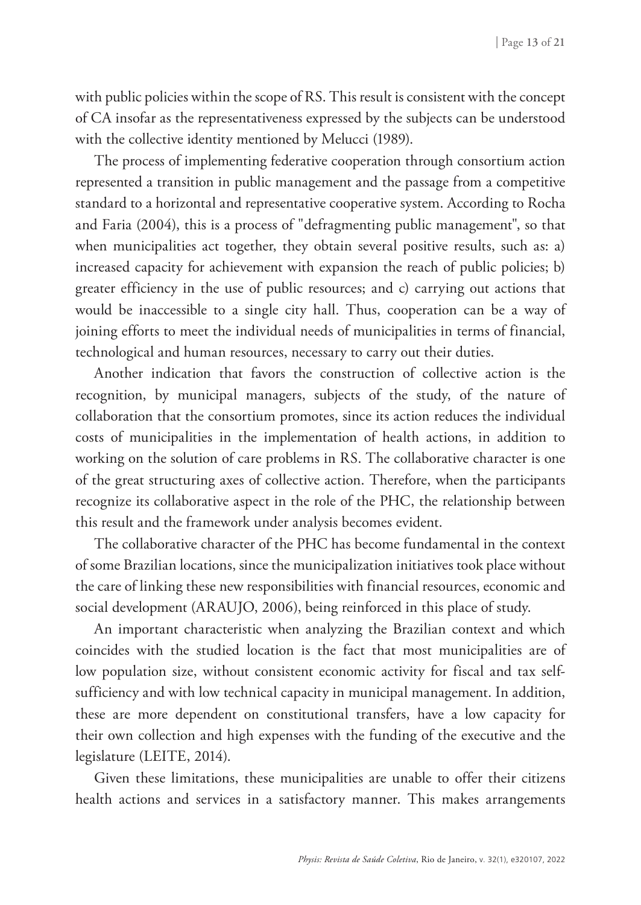with public policies within the scope of RS. This result is consistent with the concept of CA insofar as the representativeness expressed by the subjects can be understood with the collective identity mentioned by Melucci (1989).

The process of implementing federative cooperation through consortium action represented a transition in public management and the passage from a competitive standard to a horizontal and representative cooperative system. According to Rocha and Faria (2004), this is a process of "defragmenting public management", so that when municipalities act together, they obtain several positive results, such as: a) increased capacity for achievement with expansion the reach of public policies; b) greater efficiency in the use of public resources; and c) carrying out actions that would be inaccessible to a single city hall. Thus, cooperation can be a way of joining efforts to meet the individual needs of municipalities in terms of financial, technological and human resources, necessary to carry out their duties.

Another indication that favors the construction of collective action is the recognition, by municipal managers, subjects of the study, of the nature of collaboration that the consortium promotes, since its action reduces the individual costs of municipalities in the implementation of health actions, in addition to working on the solution of care problems in RS. The collaborative character is one of the great structuring axes of collective action. Therefore, when the participants recognize its collaborative aspect in the role of the PHC, the relationship between this result and the framework under analysis becomes evident.

The collaborative character of the PHC has become fundamental in the context of some Brazilian locations, since the municipalization initiatives took place without the care of linking these new responsibilities with financial resources, economic and social development (ARAUJO, 2006), being reinforced in this place of study.

An important characteristic when analyzing the Brazilian context and which coincides with the studied location is the fact that most municipalities are of low population size, without consistent economic activity for fiscal and tax selfsufficiency and with low technical capacity in municipal management. In addition, these are more dependent on constitutional transfers, have a low capacity for their own collection and high expenses with the funding of the executive and the legislature (LEITE, 2014).

Given these limitations, these municipalities are unable to offer their citizens health actions and services in a satisfactory manner. This makes arrangements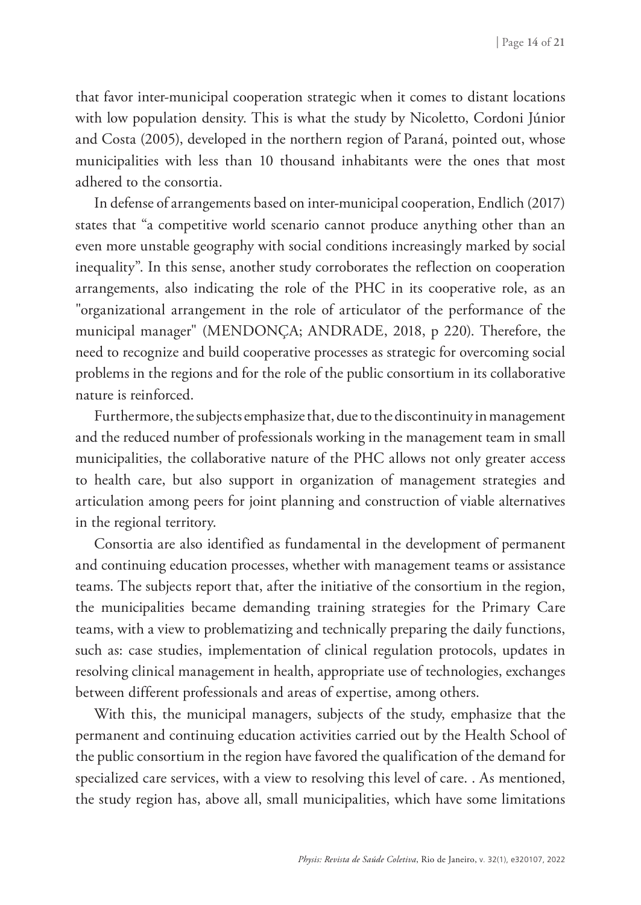that favor inter-municipal cooperation strategic when it comes to distant locations with low population density. This is what the study by Nicoletto, Cordoni Júnior and Costa (2005), developed in the northern region of Paraná, pointed out, whose municipalities with less than 10 thousand inhabitants were the ones that most adhered to the consortia.

In defense of arrangements based on inter-municipal cooperation, Endlich (2017) states that "a competitive world scenario cannot produce anything other than an even more unstable geography with social conditions increasingly marked by social inequality". In this sense, another study corroborates the reflection on cooperation arrangements, also indicating the role of the PHC in its cooperative role, as an "organizational arrangement in the role of articulator of the performance of the municipal manager" (MENDONÇA; ANDRADE, 2018, p 220). Therefore, the need to recognize and build cooperative processes as strategic for overcoming social problems in the regions and for the role of the public consortium in its collaborative nature is reinforced.

Furthermore, the subjects emphasize that, due to the discontinuity in management and the reduced number of professionals working in the management team in small municipalities, the collaborative nature of the PHC allows not only greater access to health care, but also support in organization of management strategies and articulation among peers for joint planning and construction of viable alternatives in the regional territory.

Consortia are also identified as fundamental in the development of permanent and continuing education processes, whether with management teams or assistance teams. The subjects report that, after the initiative of the consortium in the region, the municipalities became demanding training strategies for the Primary Care teams, with a view to problematizing and technically preparing the daily functions, such as: case studies, implementation of clinical regulation protocols, updates in resolving clinical management in health, appropriate use of technologies, exchanges between different professionals and areas of expertise, among others.

With this, the municipal managers, subjects of the study, emphasize that the permanent and continuing education activities carried out by the Health School of the public consortium in the region have favored the qualification of the demand for specialized care services, with a view to resolving this level of care. . As mentioned, the study region has, above all, small municipalities, which have some limitations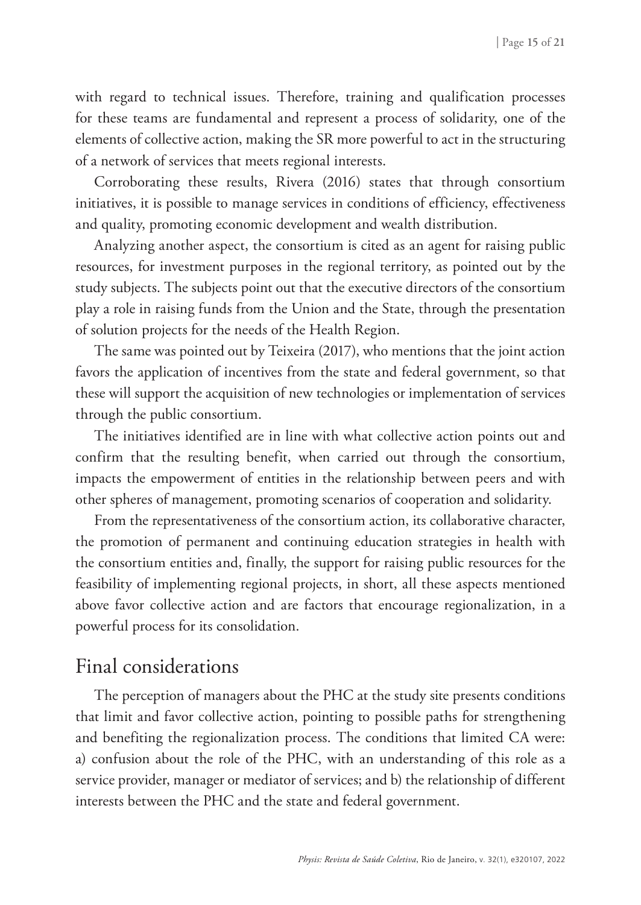with regard to technical issues. Therefore, training and qualification processes for these teams are fundamental and represent a process of solidarity, one of the elements of collective action, making the SR more powerful to act in the structuring of a network of services that meets regional interests.

Corroborating these results, Rivera (2016) states that through consortium initiatives, it is possible to manage services in conditions of efficiency, effectiveness and quality, promoting economic development and wealth distribution.

Analyzing another aspect, the consortium is cited as an agent for raising public resources, for investment purposes in the regional territory, as pointed out by the study subjects. The subjects point out that the executive directors of the consortium play a role in raising funds from the Union and the State, through the presentation of solution projects for the needs of the Health Region.

The same was pointed out by Teixeira (2017), who mentions that the joint action favors the application of incentives from the state and federal government, so that these will support the acquisition of new technologies or implementation of services through the public consortium.

The initiatives identified are in line with what collective action points out and confirm that the resulting benefit, when carried out through the consortium, impacts the empowerment of entities in the relationship between peers and with other spheres of management, promoting scenarios of cooperation and solidarity.

From the representativeness of the consortium action, its collaborative character, the promotion of permanent and continuing education strategies in health with the consortium entities and, finally, the support for raising public resources for the feasibility of implementing regional projects, in short, all these aspects mentioned above favor collective action and are factors that encourage regionalization, in a powerful process for its consolidation.

### Final considerations

The perception of managers about the PHC at the study site presents conditions that limit and favor collective action, pointing to possible paths for strengthening and benefiting the regionalization process. The conditions that limited CA were: a) confusion about the role of the PHC, with an understanding of this role as a service provider, manager or mediator of services; and b) the relationship of different interests between the PHC and the state and federal government.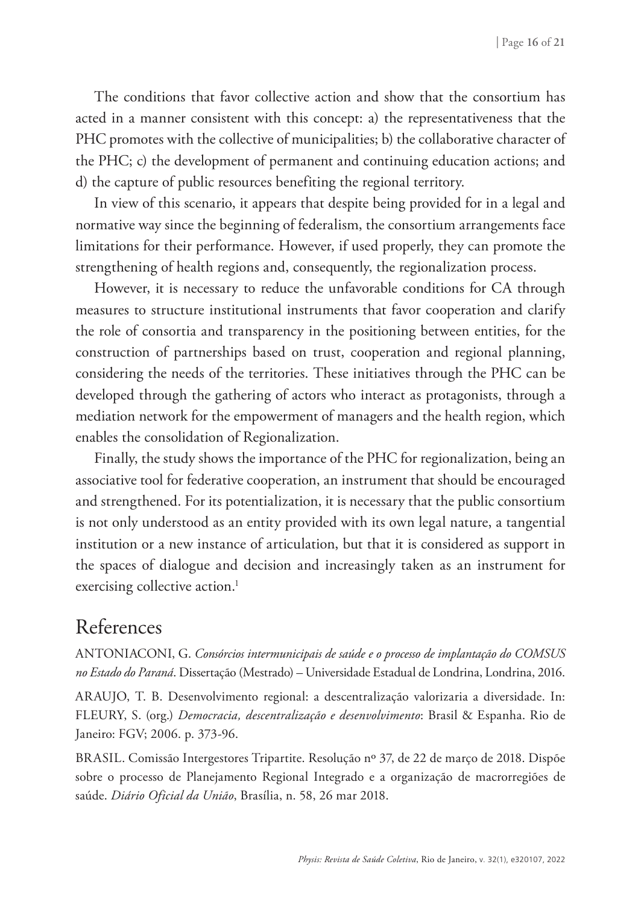The conditions that favor collective action and show that the consortium has acted in a manner consistent with this concept: a) the representativeness that the PHC promotes with the collective of municipalities; b) the collaborative character of the PHC; c) the development of permanent and continuing education actions; and d) the capture of public resources benefiting the regional territory.

In view of this scenario, it appears that despite being provided for in a legal and normative way since the beginning of federalism, the consortium arrangements face limitations for their performance. However, if used properly, they can promote the strengthening of health regions and, consequently, the regionalization process.

However, it is necessary to reduce the unfavorable conditions for CA through measures to structure institutional instruments that favor cooperation and clarify the role of consortia and transparency in the positioning between entities, for the construction of partnerships based on trust, cooperation and regional planning, considering the needs of the territories. These initiatives through the PHC can be developed through the gathering of actors who interact as protagonists, through a mediation network for the empowerment of managers and the health region, which enables the consolidation of Regionalization.

Finally, the study shows the importance of the PHC for regionalization, being an associative tool for federative cooperation, an instrument that should be encouraged and strengthened. For its potentialization, it is necessary that the public consortium is not only understood as an entity provided with its own legal nature, a tangential institution or a new instance of articulation, but that it is considered as support in the spaces of dialogue and decision and increasingly taken as an instrument for exercising collective action.<sup>1</sup>

# References

ANTONIACONI, G. *Consórcios intermunicipais de saúde e o processo de implantação do COMSUS no Estado do Paraná*. Dissertação (Mestrado) – Universidade Estadual de Londrina, Londrina, 2016.

ARAUJO, T. B. Desenvolvimento regional: a descentralização valorizaria a diversidade. In: FLEURY, S. (org.) *Democracia, descentralização e desenvolvimento*: Brasil & Espanha. Rio de Janeiro: FGV; 2006. p. 373-96.

BRASIL. Comissão Intergestores Tripartite. Resolução nº 37, de 22 de março de 2018. Dispõe sobre o processo de Planejamento Regional Integrado e a organização de macrorregiões de saúde. *Diário Oficial da União*, Brasília, n. 58, 26 mar 2018.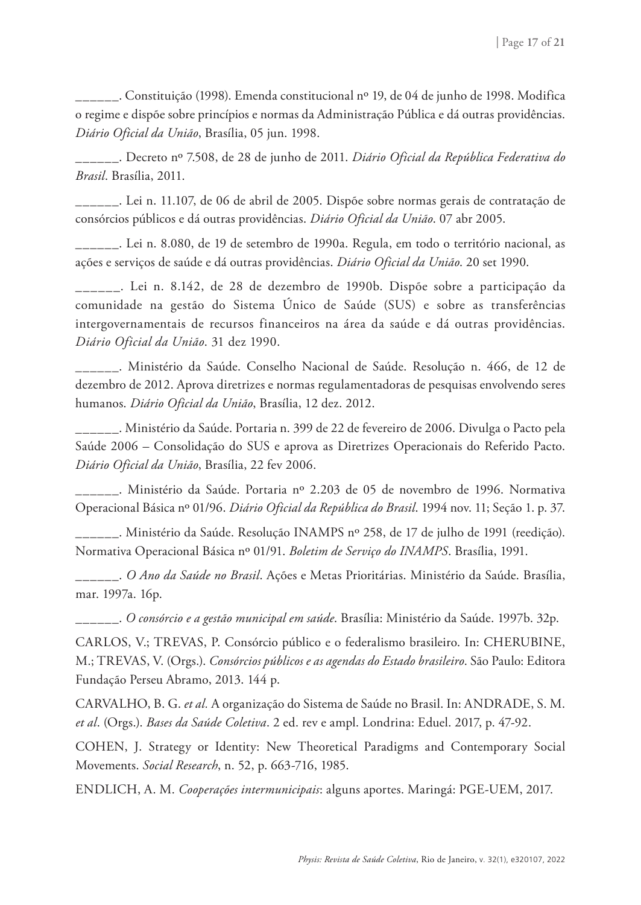\_\_\_\_\_\_. Constituição (1998). Emenda constitucional nº 19, de 04 de junho de 1998. Modifica o regime e dispõe sobre princípios e normas da Administração Pública e dá outras providências. *Diário Oficial da União*, Brasília, 05 jun. 1998.

\_\_\_\_\_\_. Decreto nº 7.508, de 28 de junho de 2011. *Diário Oficial da República Federativa do Brasil*. Brasília, 2011.

\_\_\_\_\_\_. Lei n. 11.107, de 06 de abril de 2005. Dispõe sobre normas gerais de contratação de consórcios públicos e dá outras providências. *Diário Oficial da União*. 07 abr 2005.

\_\_\_\_\_\_. Lei n. 8.080, de 19 de setembro de 1990a. Regula, em todo o território nacional, as ações e serviços de saúde e dá outras providências. *Diário Oficial da União*. 20 set 1990.

\_\_\_\_\_\_. Lei n. 8.142, de 28 de dezembro de 1990b. Dispõe sobre a participação da comunidade na gestão do Sistema Único de Saúde (SUS) e sobre as transferências intergovernamentais de recursos financeiros na área da saúde e dá outras providências. *Diário Oficial da União*. 31 dez 1990.

\_\_\_\_\_\_. Ministério da Saúde. Conselho Nacional de Saúde. Resolução n. 466, de 12 de dezembro de 2012. Aprova diretrizes e normas regulamentadoras de pesquisas envolvendo seres humanos. *Diário Oficial da União*, Brasília, 12 dez. 2012.

\_\_\_\_\_\_. Ministério da Saúde. Portaria n. 399 de 22 de fevereiro de 2006. Divulga o Pacto pela Saúde 2006 – Consolidação do SUS e aprova as Diretrizes Operacionais do Referido Pacto. *Diário Oficial da União*, Brasília, 22 fev 2006.

\_\_\_\_\_\_. Ministério da Saúde. Portaria nº 2.203 de 05 de novembro de 1996. Normativa Operacional Básica nº 01/96. *Diário Oficial da República do Brasil*. 1994 nov. 11; Seção 1. p. 37.

\_\_\_\_\_\_. Ministério da Saúde. Resolução INAMPS nº 258, de 17 de julho de 1991 (reedição). Normativa Operacional Básica nº 01/91. *Boletim de Serviço do INAMPS*. Brasília, 1991.

\_\_\_\_\_\_. *O Ano da Saúde no Brasil*. Ações e Metas Prioritárias. Ministério da Saúde. Brasília, mar. 1997a. 16p.

\_\_\_\_\_\_. *O consórcio e a gestão municipal em saúde*. Brasília: Ministério da Saúde. 1997b. 32p.

CARLOS, V.; TREVAS, P. Consórcio público e o federalismo brasileiro. In: CHERUBINE, M.; TREVAS, V. (Orgs.). *Consórcios públicos e as agendas do Estado brasileiro*. São Paulo: Editora Fundação Perseu Abramo, 2013. 144 p.

CARVALHO, B. G. *et al.* A organização do Sistema de Saúde no Brasil. In: ANDRADE, S. M. *et al*. (Orgs.). *Bases da Saúde Coletiva*. 2 ed. rev e ampl. Londrina: Eduel. 2017, p. 47-92.

COHEN, J. Strategy or Identity: New Theoretical Paradigms and Contemporary Social Movements. *Social Research*, n. 52, p. 663-716, 1985.

ENDLICH, A. M. *Cooperações intermunicipais*: alguns aportes. Maringá: PGE-UEM, 2017.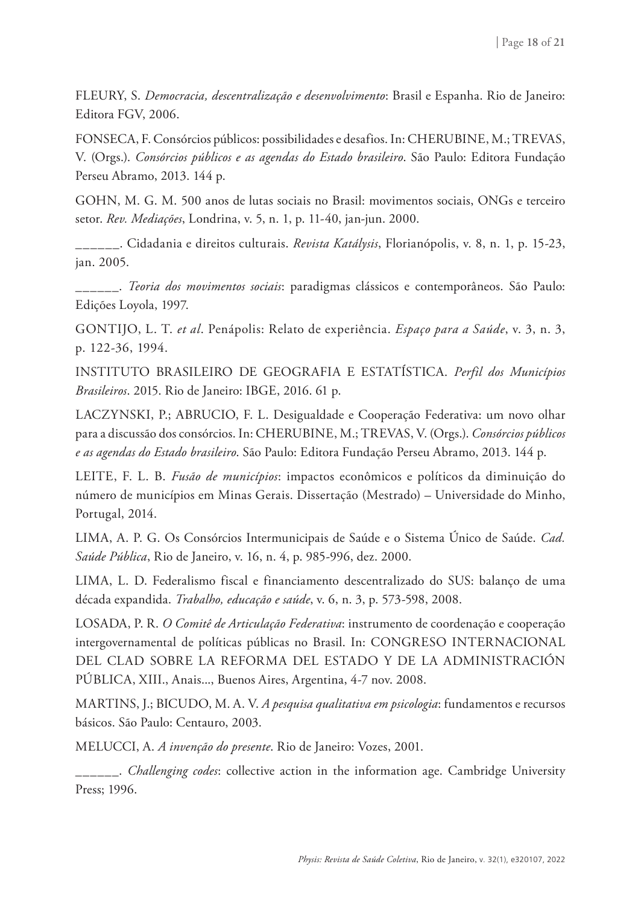FLEURY, S. *Democracia, descentralização e desenvolvimento*: Brasil e Espanha. Rio de Janeiro: Editora FGV, 2006.

FONSECA, F. Consórcios públicos: possibilidades e desafios. In: CHERUBINE, M.; TREVAS, V. (Orgs.). *Consórcios públicos e as agendas do Estado brasileiro*. São Paulo: Editora Fundação Perseu Abramo, 2013. 144 p.

GOHN, M. G. M. 500 anos de lutas sociais no Brasil: movimentos sociais, ONGs e terceiro setor. *Rev. Mediações*, Londrina, v. 5, n. 1, p. 11-40, jan-jun. 2000.

\_\_\_\_\_\_. Cidadania e direitos culturais. *Revista Katálysis*, Florianópolis, v. 8, n. 1, p. 15-23, jan. 2005.

\_\_\_\_\_\_. *Teoria dos movimentos sociais*: paradigmas clássicos e contemporâneos. São Paulo: Edições Loyola, 1997.

GONTIJO, L. T. *et al*. Penápolis: Relato de experiência. *Espaço para a Saúde*, v. 3, n. 3, p. 122-36, 1994.

INSTITUTO BRASILEIRO DE GEOGRAFIA E ESTATÍSTICA. *Perfil dos Municípios Brasileiros*. 2015. Rio de Janeiro: IBGE, 2016. 61 p.

LACZYNSKI, P.; ABRUCIO, F. L. Desigualdade e Cooperação Federativa: um novo olhar para a discussão dos consórcios. In: CHERUBINE, M.; TREVAS, V. (Orgs.). *Consórcios públicos e as agendas do Estado brasileiro*. São Paulo: Editora Fundação Perseu Abramo, 2013. 144 p.

LEITE, F. L. B. *Fusão de municípios*: impactos econômicos e políticos da diminuição do número de municípios em Minas Gerais. Dissertação (Mestrado) – Universidade do Minho, Portugal, 2014.

LIMA, A. P. G. Os Consórcios Intermunicipais de Saúde e o Sistema Único de Saúde. *Cad. Saúde Pública*, Rio de Janeiro, v. 16, n. 4, p. 985-996, dez. 2000.

LIMA, L. D. Federalismo fiscal e financiamento descentralizado do SUS: balanço de uma década expandida. *Trabalho, educação e saúde*, v. 6, n. 3, p. 573-598, 2008.

LOSADA, P. R. *O Comitê de Articulação Federativa*: instrumento de coordenação e cooperação intergovernamental de políticas públicas no Brasil. In: CONGRESO INTERNACIONAL DEL CLAD SOBRE LA REFORMA DEL ESTADO Y DE LA ADMINISTRACIÓN PÚBLICA, XIII., Anais..., Buenos Aires, Argentina, 4-7 nov. 2008.

MARTINS, J.; BICUDO, M. A. V. *A pesquisa qualitativa em psicologia*: fundamentos e recursos básicos. São Paulo: Centauro, 2003.

MELUCCI, A. *A invenção do presente*. Rio de Janeiro: Vozes, 2001.

\_\_\_\_\_\_. *Challenging codes*: collective action in the information age. Cambridge University Press; 1996.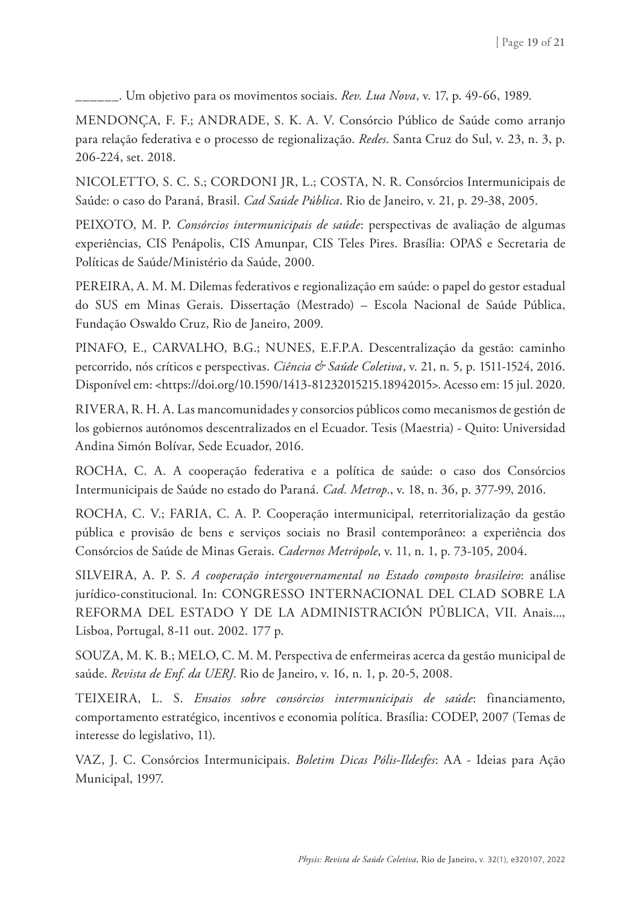\_\_\_\_\_\_. Um objetivo para os movimentos sociais. *Rev. Lua Nova*, v. 17, p. 49-66, 1989.

MENDONÇA, F. F.; ANDRADE, S. K. A. V. Consórcio Público de Saúde como arranjo para relação federativa e o processo de regionalização. *Redes*. Santa Cruz do Sul, v. 23, n. 3, p. 206-224, set. 2018.

NICOLETTO, S. C. S.; CORDONI JR, L.; COSTA, N. R. Consórcios Intermunicipais de Saúde: o caso do Paraná, Brasil. *Cad Saúde Pública*. Rio de Janeiro, v. 21, p. 29-38, 2005.

PEIXOTO, M. P. *Consórcios intermunicipais de saúde*: perspectivas de avaliação de algumas experiências, CIS Penápolis, CIS Amunpar, CIS Teles Pires. Brasília: OPAS e Secretaria de Políticas de Saúde/Ministério da Saúde, 2000.

PEREIRA, A. M. M. Dilemas federativos e regionalização em saúde: o papel do gestor estadual do SUS em Minas Gerais. Dissertação (Mestrado) – Escola Nacional de Saúde Pública, Fundação Oswaldo Cruz, Rio de Janeiro, 2009.

PINAFO, E., CARVALHO, B.G.; NUNES, E.F.P.A. Descentralização da gestão: caminho percorrido, nós críticos e perspectivas. *Ciência & Saúde Coletiva*, v. 21, n. 5, p. 1511-1524, 2016. Disponível em: <https://doi.org/10.1590/1413-81232015215.18942015>. Acesso em: 15 jul. 2020.

RIVERA, R. H. A. Las mancomunidades y consorcios públicos como mecanismos de gestión de los gobiernos autónomos descentralizados en el Ecuador. Tesis (Maestria) - Quito: Universidad Andina Simón Bolívar, Sede Ecuador, 2016.

ROCHA, C. A. A cooperação federativa e a política de saúde: o caso dos Consórcios Intermunicipais de Saúde no estado do Paraná. *Cad. Metrop*., v. 18, n. 36, p. 377-99, 2016.

ROCHA, C. V.; FARIA, C. A. P. Cooperação intermunicipal, reterritorialização da gestão pública e provisão de bens e serviços sociais no Brasil contemporâneo: a experiência dos Consórcios de Saúde de Minas Gerais. *Cadernos Metrópole*, v. 11, n. 1, p. 73-105, 2004.

SILVEIRA, A. P. S. *A cooperação intergovernamental no Estado composto brasileiro*: análise jurídico-constitucional. In: CONGRESSO INTERNACIONAL DEL CLAD SOBRE LA REFORMA DEL ESTADO Y DE LA ADMINISTRACIÓN PÚBLICA, VII. Anais..., Lisboa, Portugal, 8-11 out. 2002. 177 p.

SOUZA, M. K. B.; MELO, C. M. M. Perspectiva de enfermeiras acerca da gestão municipal de saúde. *Revista de Enf. da UERJ*. Rio de Janeiro, v. 16, n. 1, p. 20-5, 2008.

TEIXEIRA, L. S. *Ensaios sobre consórcios intermunicipais de saúde*: financiamento, comportamento estratégico, incentivos e economia política. Brasília: CODEP, 2007 (Temas de interesse do legislativo, 11).

VAZ, J. C. Consórcios Intermunicipais. *Boletim Dicas Pólis-Ildesfes*: AA - Ideias para Ação Municipal, 1997.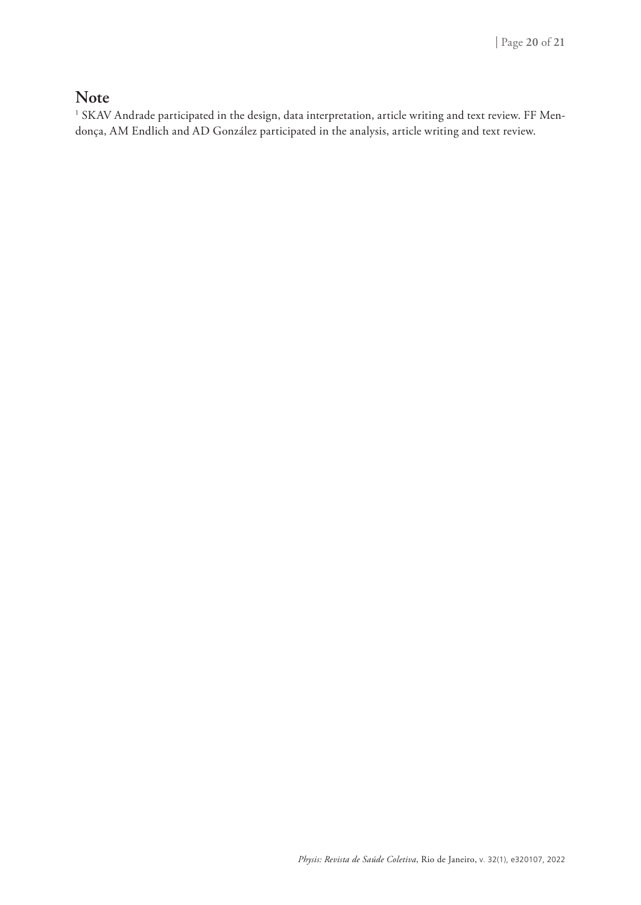#### **Note**

 $^{\rm 1}$  SKAV Andrade participated in the design, data interpretation, article writing and text review. FF Mendonça, AM Endlich and AD González participated in the analysis, article writing and text review.